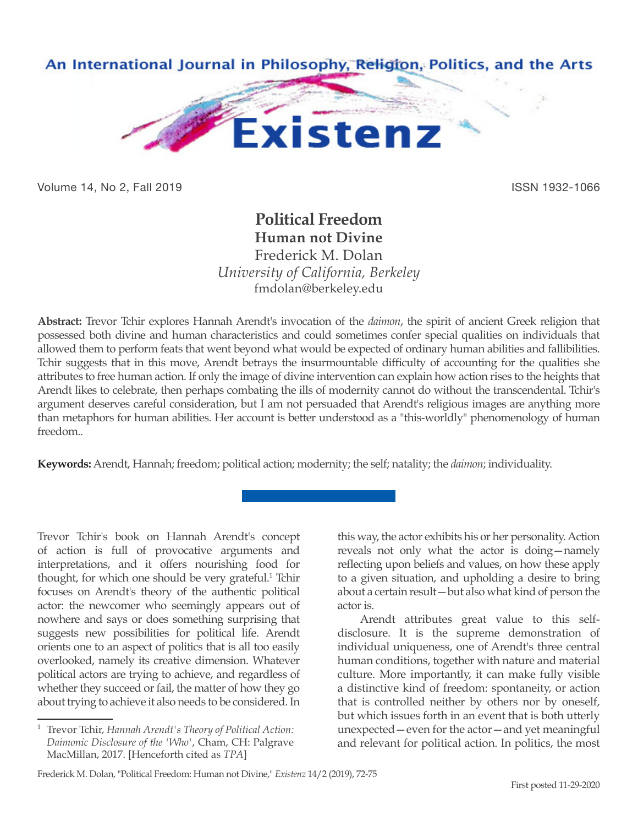

Volume 14, No 2, Fall 2019 ISSN 1932-1066

## **Political Freedom**

**Human not Divine**

Frederick M. Dolan *University of California, Berkeley* fmdolan@berkeley.edu

**Abstract:** Trevor Tchir explores Hannah Arendt's invocation of the *daimon*, the spirit of ancient Greek religion that possessed both divine and human characteristics and could sometimes confer special qualities on individuals that allowed them to perform feats that went beyond what would be expected of ordinary human abilities and fallibilities. Tchir suggests that in this move, Arendt betrays the insurmountable difficulty of accounting for the qualities she attributes to free human action. If only the image of divine intervention can explain how action rises to the heights that Arendt likes to celebrate, then perhaps combating the ills of modernity cannot do without the transcendental. Tchir's argument deserves careful consideration, but I am not persuaded that Arendt's religious images are anything more than metaphors for human abilities. Her account is better understood as a "this-worldly" phenomenology of human freedom..

**Keywords:** Arendt, Hannah; freedom; political action; modernity; the self; natality; the *daimon*; individuality.

Trevor Tchir's book on Hannah Arendt's concept of action is full of provocative arguments and interpretations, and it offers nourishing food for thought, for which one should be very grateful.<sup>1</sup> Tchir focuses on Arendt's theory of the authentic political actor: the newcomer who seemingly appears out of nowhere and says or does something surprising that suggests new possibilities for political life. Arendt orients one to an aspect of politics that is all too easily overlooked, namely its creative dimension. Whatever political actors are trying to achieve, and regardless of whether they succeed or fail, the matter of how they go about trying to achieve it also needs to be considered. In

this way, the actor exhibits his or her personality. Action reveals not only what the actor is doing—namely reflecting upon beliefs and values, on how these apply to a given situation, and upholding a desire to bring about a certain result—but also what kind of person the actor is.

Arendt attributes great value to this selfdisclosure. It is the supreme demonstration of individual uniqueness, one of Arendt's three central human conditions, together with nature and material culture. More importantly, it can make fully visible a distinctive kind of freedom: spontaneity, or action that is controlled neither by others nor by oneself, but which issues forth in an event that is both utterly unexpected—even for the actor—and yet meaningful and relevant for political action. In politics, the most

<sup>1</sup> Trevor Tchir, *Hannah Arendt's Theory of Political Action: Daimonic Disclosure of the 'Who'*, Cham, CH: Palgrave MacMillan, 2017. [Henceforth cited as *TPA*]

Frederick M. Dolan, "Political Freedom: Human not Divine," *Existenz* 14/2 (2019), 72-75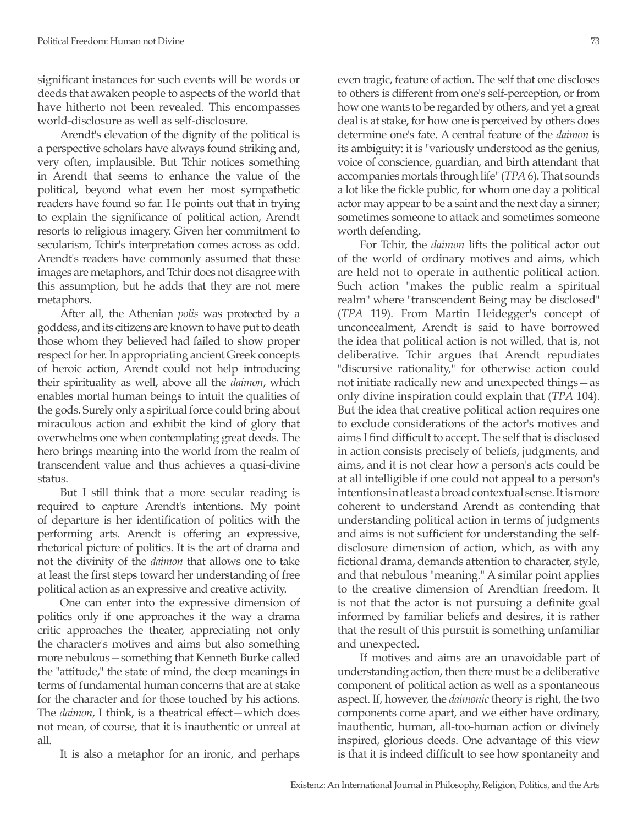significant instances for such events will be words or deeds that awaken people to aspects of the world that have hitherto not been revealed. This encompasses world-disclosure as well as self-disclosure.

Arendt's elevation of the dignity of the political is a perspective scholars have always found striking and, very often, implausible. But Tchir notices something in Arendt that seems to enhance the value of the political, beyond what even her most sympathetic readers have found so far. He points out that in trying to explain the significance of political action, Arendt resorts to religious imagery. Given her commitment to secularism, Tchir's interpretation comes across as odd. Arendt's readers have commonly assumed that these images are metaphors, and Tchir does not disagree with this assumption, but he adds that they are not mere metaphors.

After all, the Athenian *polis* was protected by a goddess, and its citizens are known to have put to death those whom they believed had failed to show proper respect for her. In appropriating ancient Greek concepts of heroic action, Arendt could not help introducing their spirituality as well, above all the *daimon*, which enables mortal human beings to intuit the qualities of the gods. Surely only a spiritual force could bring about miraculous action and exhibit the kind of glory that overwhelms one when contemplating great deeds. The hero brings meaning into the world from the realm of transcendent value and thus achieves a quasi-divine status.

But I still think that a more secular reading is required to capture Arendt's intentions. My point of departure is her identification of politics with the performing arts. Arendt is offering an expressive, rhetorical picture of politics. It is the art of drama and not the divinity of the *daimon* that allows one to take at least the first steps toward her understanding of free political action as an expressive and creative activity.

One can enter into the expressive dimension of politics only if one approaches it the way a drama critic approaches the theater, appreciating not only the character's motives and aims but also something more nebulous—something that Kenneth Burke called the "attitude," the state of mind, the deep meanings in terms of fundamental human concerns that are at stake for the character and for those touched by his actions. The *daimon*, I think, is a theatrical effect—which does not mean, of course, that it is inauthentic or unreal at all.

It is also a metaphor for an ironic, and perhaps

even tragic, feature of action. The self that one discloses to others is different from one's self-perception, or from how one wants to be regarded by others, and yet a great deal is at stake, for how one is perceived by others does determine one's fate. A central feature of the *daimon* is its ambiguity: it is "variously understood as the genius, voice of conscience, guardian, and birth attendant that accompanies mortals through life" (*TPA* 6). That sounds a lot like the fickle public, for whom one day a political actor may appear to be a saint and the next day a sinner; sometimes someone to attack and sometimes someone worth defending.

For Tchir, the *daimon* lifts the political actor out of the world of ordinary motives and aims, which are held not to operate in authentic political action. Such action "makes the public realm a spiritual realm" where "transcendent Being may be disclosed" (*TPA* 119). From Martin Heidegger's concept of unconcealment, Arendt is said to have borrowed the idea that political action is not willed, that is, not deliberative. Tchir argues that Arendt repudiates "discursive rationality," for otherwise action could not initiate radically new and unexpected things—as only divine inspiration could explain that (*TPA* 104). But the idea that creative political action requires one to exclude considerations of the actor's motives and aims I find difficult to accept. The self that is disclosed in action consists precisely of beliefs, judgments, and aims, and it is not clear how a person's acts could be at all intelligible if one could not appeal to a person's intentions in at least a broad contextual sense. It is more coherent to understand Arendt as contending that understanding political action in terms of judgments and aims is not sufficient for understanding the selfdisclosure dimension of action, which, as with any fictional drama, demands attention to character, style, and that nebulous "meaning." A similar point applies to the creative dimension of Arendtian freedom. It is not that the actor is not pursuing a definite goal informed by familiar beliefs and desires, it is rather that the result of this pursuit is something unfamiliar and unexpected.

If motives and aims are an unavoidable part of understanding action, then there must be a deliberative component of political action as well as a spontaneous aspect. If, however, the *daimonic* theory is right, the two components come apart, and we either have ordinary, inauthentic, human, all-too-human action or divinely inspired, glorious deeds. One advantage of this view is that it is indeed difficult to see how spontaneity and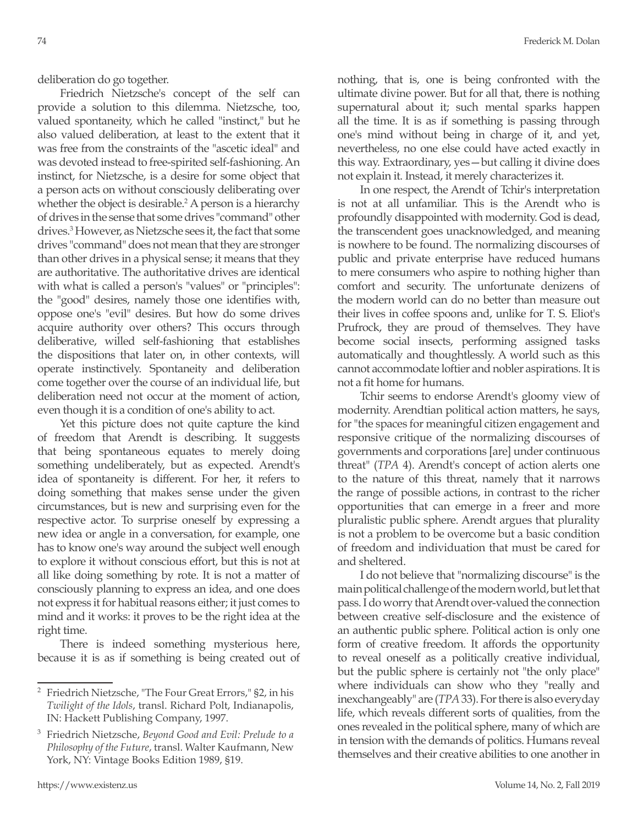Friedrich Nietzsche's concept of the self can provide a solution to this dilemma. Nietzsche, too, valued spontaneity, which he called "instinct," but he also valued deliberation, at least to the extent that it was free from the constraints of the "ascetic ideal" and was devoted instead to free-spirited self-fashioning. An instinct, for Nietzsche, is a desire for some object that a person acts on without consciously deliberating over whether the object is desirable.<sup>2</sup> A person is a hierarchy of drives in the sense that some drives "command" other drives.3 However, as Nietzsche sees it, the fact that some drives "command" does not mean that they are stronger than other drives in a physical sense; it means that they are authoritative. The authoritative drives are identical with what is called a person's "values" or "principles": the "good" desires, namely those one identifies with, oppose one's "evil" desires. But how do some drives acquire authority over others? This occurs through deliberative, willed self-fashioning that establishes the dispositions that later on, in other contexts, will operate instinctively. Spontaneity and deliberation come together over the course of an individual life, but deliberation need not occur at the moment of action, even though it is a condition of one's ability to act.

Yet this picture does not quite capture the kind of freedom that Arendt is describing. It suggests that being spontaneous equates to merely doing something undeliberately, but as expected. Arendt's idea of spontaneity is different. For her, it refers to doing something that makes sense under the given circumstances, but is new and surprising even for the respective actor. To surprise oneself by expressing a new idea or angle in a conversation, for example, one has to know one's way around the subject well enough to explore it without conscious effort, but this is not at all like doing something by rote. It is not a matter of consciously planning to express an idea, and one does not express it for habitual reasons either; it just comes to mind and it works: it proves to be the right idea at the right time.

There is indeed something mysterious here, because it is as if something is being created out of nothing, that is, one is being confronted with the ultimate divine power. But for all that, there is nothing supernatural about it; such mental sparks happen all the time. It is as if something is passing through one's mind without being in charge of it, and yet, nevertheless, no one else could have acted exactly in this way. Extraordinary, yes—but calling it divine does not explain it. Instead, it merely characterizes it.

In one respect, the Arendt of Tchir's interpretation is not at all unfamiliar. This is the Arendt who is profoundly disappointed with modernity. God is dead, the transcendent goes unacknowledged, and meaning is nowhere to be found. The normalizing discourses of public and private enterprise have reduced humans to mere consumers who aspire to nothing higher than comfort and security. The unfortunate denizens of the modern world can do no better than measure out their lives in coffee spoons and, unlike for T. S. Eliot's Prufrock, they are proud of themselves. They have become social insects, performing assigned tasks automatically and thoughtlessly. A world such as this cannot accommodate loftier and nobler aspirations. It is not a fit home for humans.

Tchir seems to endorse Arendt's gloomy view of modernity. Arendtian political action matters, he says, for "the spaces for meaningful citizen engagement and responsive critique of the normalizing discourses of governments and corporations [are] under continuous threat" (*TPA* 4). Arendt's concept of action alerts one to the nature of this threat, namely that it narrows the range of possible actions, in contrast to the richer opportunities that can emerge in a freer and more pluralistic public sphere. Arendt argues that plurality is not a problem to be overcome but a basic condition of freedom and individuation that must be cared for and sheltered.

I do not believe that "normalizing discourse" is the main political challenge of the modern world, but let that pass. I do worry that Arendt over-valued the connection between creative self-disclosure and the existence of an authentic public sphere. Political action is only one form of creative freedom. It affords the opportunity to reveal oneself as a politically creative individual, but the public sphere is certainly not "the only place" where individuals can show who they "really and inexchangeably" are (*TPA* 33). For there is also everyday life, which reveals different sorts of qualities, from the ones revealed in the political sphere, many of which are in tension with the demands of politics. Humans reveal themselves and their creative abilities to one another in

<sup>2</sup> Friedrich Nietzsche, "The Four Great Errors," §2, in his *Twilight of the Idols*, transl. Richard Polt, Indianapolis, IN: Hackett Publishing Company, 1997.

<sup>3</sup> Friedrich Nietzsche, *Beyond Good and Evil: Prelude to a Philosophy of the Future*, transl. Walter Kaufmann, New York, NY: Vintage Books Edition 1989, §19.